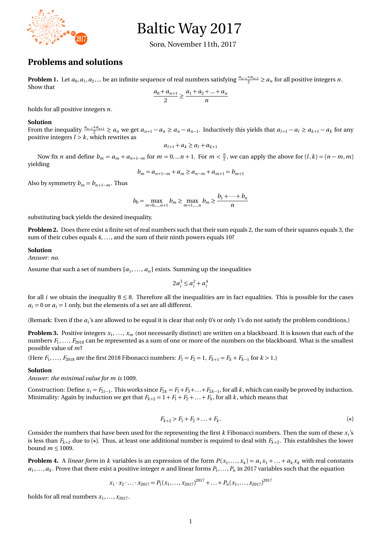# Baltic Way 2017

Sorø, November 11th, 2017

## **Problems and solutions**

**2017**

**Problem 1.** Let  $a_0, a_1, a_2, ...$  be an infinite sequence of real numbers satisfying  $\frac{a_{n-1}+a_{n+1}}{2} \ge a_n$  for all positive integers *n*. Show that

$$
\frac{a_0 + a_{n+1}}{2} \ge \frac{a_1 + a_2 + \dots + a_n}{n}
$$

holds for all positive integers *n*. 1

#### **Solution**

**179181191 <sup>193</sup><sup>197</sup> <sup>199</sup> <sup>701</sup> <sup>709</sup>**

**1877 191318891901 190719131931**

**<sup>1163</sup> <sup>1171</sup> <sup>1319</sup> <sup>1321</sup> 13191423**

**<sup>983</sup> <sup>991</sup> <sup>1087</sup> <sup>1091</sup>**

**<sup>1447</sup> <sup>1451</sup> <sup>1549</sup> <sup>1553</sup> 1567160116091637 <sup>1753</sup> <sup>1759</sup> <sup>1907</sup> <sup>1913</sup>**

From the inequality  $\frac{a_{n-1}+a_{n+1}}{2} \ge a_n$  we get  $a_{n+1}-a_n \ge a_n-a_{n-1}$ . Inductively this yields that  $a_{l+1}-a_l \ge a_{k+1}-a_k$  for any positive integers  $l > k$ , which rewrites as

$$
a_{l+1}+a_k\geq a_l+a_{k+1}
$$

Now fix *n* and define  $b_m = a_m + a_{n+1-m}$  for  $m = 0,...n + 1$ . For  $m < \frac{n}{2}$ , we can apply the above for  $(l, k) = (n - m, m)$ yielding

$$
b_m = a_{n+1-m} + a_m \ge a_{n-m} + a_{m+1} = b_{m+1}
$$

Also by symmetry  $b_m = b_{n+1-m}$ . Thus

$$
b_0 = \max_{m=0,\dots,n+1} b_m \ge \max_{m=1,\dots,n} b_m \ge \frac{b_1 + \dots + b_n}{n}
$$

substituting back yields the desired inequality.

**Problem 2.** Does there exist a finite set of real numbers such that their sum equals 2, the sum of their squares equals 3, the sum of their cubes equals 4, ..., and the sum of their ninth powers equals 10?

#### **Solution**

*Answer: no.*

Assume that such a set of numbers  $\{a_1, \ldots, a_n\}$  exists. Summing up the inequalities

$$
2a_i^3 \le a_i^2 + a_i^4
$$

for all *i* we obtain the inequality  $8 \leq 8$ . Therefore all the inequalities are in fact equalities. This is possible for the cases  $a_i = 0$  or  $a_i = 1$  only, but the elements of a set are all different.

(Remark: Even if the  $a_i$ 's are allowed to be equal it is clear that only 0's or only 1's do not satisfy the problem conditions.)

**Problem 3.** Positive integers *x*<sup>1</sup> , . . . , *x<sup>m</sup>* (not necessarily distinct) are written on a blackboard. It is known that each of the numbers  $F_1,\ldots,F_{2018}$  can be represented as a sum of one or more of the numbers on the blackboard. What is the smallest possible value of *m*?

(Here  $F_1, \ldots, F_{2018}$  are the first 2018 Fibonacci numbers:  $F_1 = F_2 = 1, F_{k+1} = F_k + F_{k-1}$  for  $k > 1$ .)

#### **Solution**

*Answer: the minimal value for m is* 1009*.*

Construction: Define  $x_i = F_{2i-1}$ . This works since  $F_{2k} = F_1 + F_3 + \ldots + F_{2k-1}$ , for all *k*, which can easily be proved by induction. Minimality: Again by induction we get that  $F_{k+2} = 1 + F_1 + F_2 + \ldots + F_k$ , for all *k*, which means that

$$
F_{k+2} > F_1 + F_2 + \ldots + F_k. \tag{*}
$$

Consider the numbers that have been used for the representing the first *k* Fibonacci numbers. Then the sum of these *x<sup>i</sup>* 's is less than  $F_{k+2}$  due to  $(*)$ . Thus, at least one additional number is required to deal with  $F_{k+2}$ . This establishes the lower bound  $m \leq 1009$ .

**Problem 4.** A *linear form* in *k* variables is an expression of the form  $P(x_1,...,x_k) = a_1x_1 + ... + a_kx_k$  with real constants  $a_1, \ldots, a_k$ . Prove that there exist a positive integer *n* and linear forms  $P_1, \ldots, P_n$  in 2017 variables such that the equation

$$
x_1 \cdot x_2 \cdot \ldots \cdot x_{2017} = P_1(x_1, \ldots, x_{2017})^{2017} + \ldots + P_n(x_1, \ldots, x_{2017})^{2017}
$$

holds for all real numbers  $x_1, \ldots, x_{2017}$ .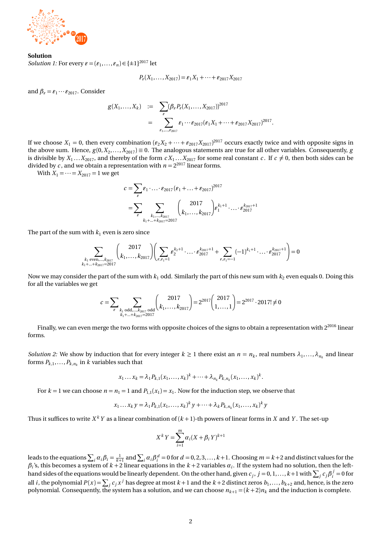

### **Solution**

*Solution 1:* For every  $\varepsilon = (\varepsilon_1, ..., \varepsilon_n) \in \{\pm 1\}^{2017}$  let

$$
P_{\varepsilon}(X_1,\ldots,X_{2017})=\varepsilon_1X_1+\cdots+\varepsilon_{2017}X_{2017}
$$

and  $\beta_e = \varepsilon_1 \cdots \varepsilon_{2017}$ . Consider

$$
g(X_1,...,X_k) := \sum_{\varepsilon} (\beta_{\varepsilon} P_{\varepsilon}(X_1,...,X_{2017}))^{2017}
$$
  
= 
$$
\sum_{\varepsilon_1,...,\varepsilon_{2017}} \varepsilon_1 \cdots \varepsilon_{2017} (\varepsilon_1 X_1 + \cdots + \varepsilon_{2017} X_{2017})^{2017}.
$$

If we choose  $X_1 = 0$ , then every combination  $(\varepsilon_2 X_2 + \cdots + \varepsilon_{2017} X_{2017})^{2017}$  occurs exactly twice and with opposite signs in the above sum. Hence,  $g(0, X_2, \ldots, X_{2017}) \equiv 0$ . The analogous statements are true for all other variables. Consequently, *g* is divisible by  $X_1 \ldots X_{2017}$ , and thereby of the form  $c X_1 \ldots X_{2017}$  for some real constant  $c$ . If  $c \neq 0$ , then both sides can be divided by *c*, and we obtain a representation with  $n = 2^{2017}$  linear forms.

With  $X_1 = \cdots = X_{2017} = 1$  we get

$$
c = \sum_{\varepsilon} \varepsilon_1 \cdot \ldots \cdot \varepsilon_{2017} (\varepsilon_1 + \ldots + \varepsilon_{2017})^{2017}
$$
  
= 
$$
\sum_{\varepsilon} \sum_{\substack{k_1, \ldots, k_{2017} \\ k_1 + \ldots + k_{2017} = 2017}} \binom{2017}{k_1, \ldots, k_{2017}} \varepsilon_1^{k_1 + 1} \cdot \ldots \cdot \varepsilon_{2017}^{k_{2017} + 1}
$$

The part of the sum with  $k_1$  even is zero since

$$
\sum_{\substack{k_1 \text{ even}, \dots, k_{2017} \\ k_1 + \dots + k_{2017} = 2017}} \left( \frac{2017}{k_1, \dots, k_{2017}} \right) \left( \sum_{\varepsilon, \varepsilon_1 = 1} \varepsilon_2^{k_2 + 1} \cdot \dots \cdot \varepsilon_{2017}^{k_{2017} + 1} + \sum_{\varepsilon, \varepsilon_1 = -1} (-1)^{k_1 + 1} \cdot \dots \cdot \varepsilon_{2017}^{k_{2017} + 1} \right) = 0
$$

Now we may consider the part of the sum with  $k_1$  odd. Similarly the part of this new sum with  $k_2$  even equals 0. Doing this for all the variables we get

$$
c = \sum_{\varepsilon} \sum_{\substack{k_1 \text{ odd}, \dots, k_{2017} \text{ odd} \\ k_1 + \dots + k_{2017} = 2017}} \binom{2017}{k_1, \dots, k_{2017}} = 2^{2017} \binom{2017}{1, \dots, 1} = 2^{2017} \cdot 2017! \neq 0
$$

Finally, we can even merge the two forms with opposite choices of the signs to obtain a representation with  $2^{2016}$  linear forms.

*Solution 2:* We show by induction that for every integer  $k \ge 1$  there exist an  $n = n_k$ , real numbers  $\lambda_1, \ldots, \lambda_{n_k}$  and linear forms  $P_{k,1},\ldots,P_{k,n_k}$  in  $k$  variables such that

$$
x_1 \dots x_k = \lambda_1 P_{k,1}(x_1, \dots, x_k)^k + \dots + \lambda_{n_k} P_{k,n_k}(x_1, \dots, x_k)^k.
$$

For  $k = 1$  we can choose  $n = n_1 = 1$  and  $P_{1,1}(x_1) = x_1$ . Now for the induction step, we observe that

$$
x_1... x_k y = \lambda_1 P_{k,1}(x_1,...,x_k)^k y + \dots + \lambda_k P_{k,n_k}(x_1,...,x_k)^k y
$$

Thus it suffices to write  $X^k Y$  as a linear combination of  $(k+1)$ -th powers of linear forms in  $X$  and  $Y$ . The set-up

$$
X^{k}Y = \sum_{i=1}^{m} \alpha_i (X + \beta_i Y)^{k+1}
$$

leads to the equations  $\sum_i \alpha_i \beta_i = \frac{1}{k+1}$  and  $\sum_i \alpha_i \beta_i^d = 0$  for  $d = 0, 2, 3, ..., k+1$ . Choosing  $m = k+2$  and distinct values for the  $\beta_i$ 's, this becomes a system of  $k+2$  linear equations in the  $k+2$  variables  $\alpha_i$ . If the system had no solution, then the lefthand sides of the equations would be linearly dependent. On the other hand, given  $c_j$ ,  $j=0,1,\ldots,k+1$  with  $\sum_j c_j\beta_i^{\ j}=0$  for all *i*, the polynomial  $P(x) = \sum_j c_j x^j$  has degree at most  $k+1$  and the  $k+2$  distinct zeros  $b_1, \ldots, b_{k+2}$  and, hence, is the zero polynomial. Consequently, the system has a solution, and we can choose  $n_{k+1} = (k+2)n_k$  and the induction is complete.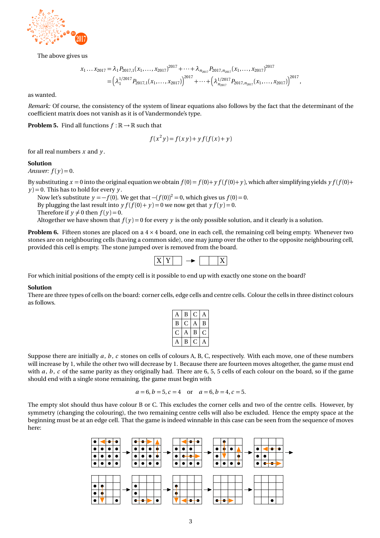

The above gives us

$$
x_1 \dots x_{2017} = \lambda_1 P_{2017,1}(x_1, \dots, x_{2017})^{2017} + \dots + \lambda_{n_{2017}} P_{2017,n_{2017}}(x_1, \dots, x_{2017})^{2017}
$$
  
=  $\left(\lambda_1^{1/2017} P_{2017,1}(x_1, \dots, x_{2017})\right)^{2017} + \dots + \left(\lambda_{n_{2017}}^{1/2017} P_{2017,n_{2017}}(x_1, \dots, x_{2017})\right)^{2017},$ 

as wanted.

*Remark:* Of course, the consistency of the system of linear equations also follows by the fact that the determinant of the coefficient matrix does not vanish as it is of Vandermonde's type. 1

**Problem 5.** Find all functions  $f : \mathbb{R} \to \mathbb{R}$  such that

$$
f(x^2y) = f(xy) + yf(f(x) + y)
$$

for all real numbers *x* and *y* .

#### **Solution**

*Answer:*  $f(y) = 0$ .

By substituting  $x = 0$  into the original equation we obtain  $f(0) = f(0) + y f(f(0) + y)$ , which after simplifying yields  $y f(f(0) + y)$  $\gamma$  = 0. This has to hold for every  $\gamma$ .

Now let's substitute  $\gamma = -f(0)$ . We get that  $-(f(0))^2 = 0$ , which gives us  $f(0) = 0$ . By plugging the last result into  $y f(f(0) + y) = 0$  we now get that  $y f(y) = 0$ .  $\frac{dy}{dx}$  fragging the natives that  $f(y) = 0$ .<br>Therefore if  $y \neq 0$  then  $f(y) = 0$ . Altogether we have shown that  $f(y) = 0$  for every y is the only possible solution, and it clearly is a solution.

**Problem 6.** Fifteen stones are placed on a  $4 \times 4$  board, one in each cell, the remaining cell being empty. Whenever two stones are on neighbouring cells (having a common side), one may jump over the other to the opposite neighbouring cell, provided this cell, provided this cell, and the counter of the opposite neighbouring cell, provided this cell is empty. The stone jumped over is removed from the board.



For which initial positions of the empty cell is it possible to end up with exactly one stone on the board?

#### **Solution**

 $p_n$ as follows. There are three types of cells on the board: corner cells, edge cells and centre cells. Colour the cells in three distinct colours

| $A \mid$        | $\, {\bf B}$    | $\sqrt{2}$<br>◡   | $\Delta$<br>$\mathbf{L}$ |
|-----------------|-----------------|-------------------|--------------------------|
| $\overline{B}$  | $\sqrt{2}$<br>◡ | $\mathbf{r}$      | D<br>D                   |
| $\sqrt{ }$<br>◡ | $\mathbf{A}$    | $\mathbf{D}$<br>ற | $\sqrt{2}$<br>◡          |
| A <sup>1</sup>  | B               | $\sqrt{2}$<br>◡   | A                        |

will increase by 1, while the other two will decrease by 1. Because there are fourteen moves altogether, the game must end will increase by 1, while the other two will decrease by 1. Because there are fourteen moves altoge Suppose there are initially *a*, *b*, *c* stones on cells of colours A, B, C, respectively. With each move, one of these numbers should end with a single stone remaining, the game must begin with with *a*, *b*, *c* of the same parity as they originally had. There are 6, 5, 5 cells of each colour on the board, so if the game

$$
a = 6, b = 5, c = 4
$$
 or  $a = 6, b = 4, c = 5$ .

The empty slot should thus have colour B or C. This excludes the corner cells and two of the centre cells. However, by symmeny (changing the colouring), the two remaining centre cens will also be excluded. Thence the empty space at the<br>beginning must be at an edge cell. That the game is indeed winnable in this case can be seen from the seq symmetry (changing the colouring), the two remaining centre cells will also be excluded. Hence the empty space at the here:

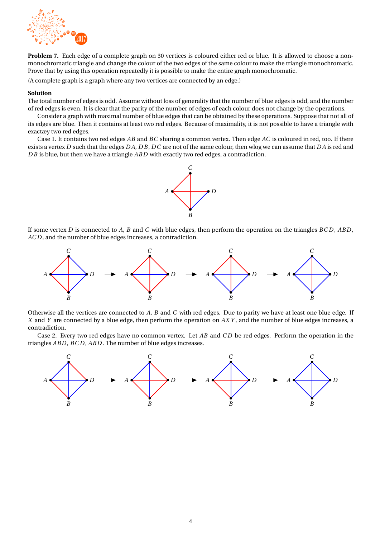

**Problem 7.** Each edge of a complete graph on 30 vertices is coloured either red or blue. It is allowed to choose a nonmonochromatic triangle and change the colour of the two edges of the same colour to make the triangle monochromatic. Prove that by using this operation repeatedly it is possible to make the entire graph monochromatic.

(A complete graph is a graph where any two vertices are connected by an edge.)

#### **Solution**

The total number of edges is odd. Assume without loss of generality that the number of blue edges is odd, and the number of red edges is even. It is clear that the parity of the number of edges of each colour does not change by the operations.

Consider a graph with maximal number of blue edges that can be obtained by these operations. Suppose that not all of 1its edges are blue. Then it contains at least two red edges. Because of maximality, it is not possible to have a triangle with exactæy two red edges.

Case 1. It contains two red edges *AB* and *BC* sharing a common vertex. Then edge *AC* is coloured in red, too. If there exists a vertex *D* such that the edges *D A*, *D B*, *D C* are not of the same colour, then wlog we can assume that *D A* is red and *D B* is blue, but then we have a triangle *AB D* with exactly two red edges, a contradiction.



If some vertex *D* is connected to *A*, *B* and *C* with blue edges, then perform the operation on the triangles *BC D* , *AB D* , *AC D* , and the number of blue edges increases, a contradiction.



Otherwise all the vertices are connected to *A*, *B* and *C* with red edges. Due to parity we have at least one blue edge. If *X* and *Y* are connected by a blue edge, then perform the operation on *AX Y* , and the number of blue edges increases, a contradiction.

Case 2. Every two red edges have no common vertex. Let *AB* and *C D* be red edges. Perform the operation in the triangles *ABD*, *BCD*, *ABD*. The number of blue edges increases.

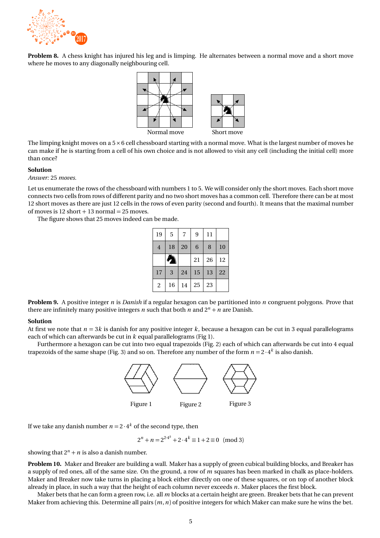

**Problem 8.** A chess knight has injured his leg and is limping. He alternates between a normal move and a short move where he moves to any diagonally neighbouring cell. **1**<br> **1898**<br> **1898**<br> **1898**<br> **1898 1913** 



The limping knight moves on a  $5\times 6$  cell chessboard starting with a normal move. What is the largest number of moves he can make if he is starting from a cell of his own choice and is not allowed to visit any cell (including the initial cell) more than once?

#### **Solution**

*Answer:* 25 *moves.*

Let us enumerate the rows of the chessboard with numbers 1 to 5. We will consider only the short moves. Each short move connects two cells from rows of different parity and no two short moves has a common cell. Therefore there can be at most 12 short moves as there are just 12 cells in the rows of even parity (second and fourth). It means that the maximal number of moves is  $12$  short  $+ 13$  normal  $= 25$  moves.

The figure shows that 25 moves indeed can be made.

| 19             | 5               | 7  | 9  | 11 |    |
|----------------|-----------------|----|----|----|----|
| $\overline{4}$ | 18              | 20 | 6  | 8  | 10 |
|                | $\blacklozenge$ |    | 21 | 26 | 12 |
| 17             | 3               | 24 | 15 | 13 | 22 |
| $\overline{2}$ | 16              | 14 | 25 | 23 |    |

**Problem 9.** A positive integer *n* is *Danish* if a regular hexagon can be partitioned into *n* congruent polygons. Prove that there are infinitely many positive integers *n* such that both *n* and  $2^n + n$  are Danish.

#### **Solution**

At first we note that  $n = 3k$  is danish for any positive integer k, because a hexagon can be cut in 3 equal parallelograms each of which can afterwards be cut in *k* equal parallelograms (Fig 1).

Furthermore a hexagon can be cut into two equal trapezoids (Fig. 2) each of which can afterwards be cut into 4 equal trapezoids of the same shape (Fig. 3) and so on. Therefore any number of the form  $n = 2 \cdot 4^k$  is also danish.



If we take any danish number  $n = 2 \cdot 4^k$  of the second type, then

 $2^n + n = 2^{2 \cdot 4^k} + 2 \cdot 4^k \equiv 1 + 2 \equiv 0 \pmod{3}$ 

showing that  $2^n + n$  is also a danish number.

**Problem 10.** Maker and Breaker are building a wall. Maker has a supply of green cubical building blocks, and Breaker has a supply of red ones, all of the same size. On the ground, a row of *m* squares has been marked in chalk as place-holders. Maker and Breaker now take turns in placing a block either directly on one of these squares, or on top of another block already in place, in such a way that the height of each column never exceeds *n*. Maker places the first block.

Maker bets that he can form a green row, i.e. all *m* blocks at a certain height are green. Breaker bets that he can prevent Maker from achieving this. Determine all pairs (*m*,*n*) of positive integers for which Maker can make sure he wins the bet.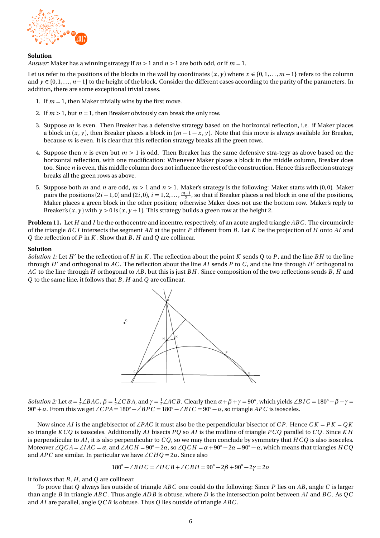

#### **Solution**

*Answer:* Maker has a winning strategy if *m >* 1 and *n >* 1 are both odd, or if *m* = 1.

Let us refer to the positions of the blocks in the wall by coordinates  $(x, y)$  where  $x \in \{0, 1, \ldots, m-1\}$  refers to the column and  $y \in \{0, 1, \ldots, n-1\}$  to the height of the block. Consider the different cases according to the parity of the parameters. In addition, there are some exceptional trivial cases.

- 1. If  $m = 1$ , then Maker trivially wins by the first move.
- 2. If  $m > 1$ , but  $n = 1$ , then Breaker obviously can break the only row.
- 3. Suppose *m* is even. Then Breaker has a defensive strategy based on the horizontal reflection, i.e. if Maker places a block in  $(x, y)$ , then Breaker places a block in  $(m - 1 - x, y)$ . Note that this move is always available for Breaker, because *m* is even. It is clear that this reflection strategy breaks all the green rows.
- 4. Suppose then *n* is even but *m >* 1 is odd. Then Breaker has the same defensive stra-tegy as above based on the horizontal reflection, with one modification: Whenever Maker places a block in the middle column, Breaker does too. Since *n* is even, this middle column does not influence the rest of the construction. Hence this reflection strategy breaks all the green rows as above.
- 5. Suppose both *m* and *n* are odd, *m >* 1 and *n >* 1. Maker's strategy is the following: Maker starts with (0, 0). Maker pairs the positions  $(2i-1,0)$  and  $(2i,0)$ ,  $i=1,2,\ldots,\frac{m-1}{2}$ , so that if Breaker places a red block in one of the positions, Maker places a green block in the other position; otherwise Maker does not use the bottom row. Maker's reply to Breaker's  $(x, y)$  with  $y > 0$  is  $(x, y + 1)$ . This strategy builds a green row at the height 2.

**Problem 11.** Let *H* and *I* be the orthocentre and incentre, respectively, of an acute angled triangle *ABC* . The circumcircle of the triangle *BC I* intersects the segment *AB* at the point *P* different from *B*. Let *K* be the projection of *H* onto *AI* and *Q* the reflection of *P* in *K* . Show that *B*, *H* and *Q* are collinear.

#### **Solution**

*Solution 1:* Let  $H'$  be the reflection of  $H$  in  $K$ . The reflection about the point  $K$  sends  $Q$  to  $P$ , and the line  $BH$  to the line through  $H'$  and orthogonal to  $AC$ . The reflection about the line  $AI$  sends  $P$  to  $C$ , and the line through  $H'$  orthogonal to *AC* to the line through *H* orthogonal to *AB*, but this is just *BH* . Since composition of the two reflections sends *B*, *H* and *Q* to the same line, it follows that *B*, *H* and *Q* are collinear.



*Solution 2:* Let  $\alpha = \frac{1}{2} \angle BAC$ ,  $\beta = \frac{1}{2} \angle CBA$ , and  $\gamma = \frac{1}{2} \angle ACB$ . Clearly then  $\alpha + \beta + \gamma = 90^\circ$ , which yields  $\angle BIC = 180^\circ - \beta - \gamma =$  $90^\circ + \alpha$ . From this we get  $\angle CPA = 180^\circ - \angle BPC = 180^\circ - \angle BIC = 90^\circ - \alpha$ , so triangle *APC* is isosceles.

Now since *AI* is the anglebisector of ∠*PAC* it must also be the perpendicular bisector of *C P* . Hence *C K* = *P K* = *Q K* so triangle *K C Q* is isosceles. Additionally *AI* bisects *PQ* so *AI* is the midline of triangle *P C Q* parallel to *C Q*. Since *K H* is perpendicular to *AI* , it is also perpendicular to *C Q*, so we may then conclude by symmetry that *H C Q* is also isosceles. Moreover  $\angle QCA = \angle IAC = \alpha$ , and  $\angle ACH = 90° - 2\alpha$ , so  $\angle QCH = \alpha + 90° - 2\alpha = 90° - \alpha$ , which means that triangles *HCQ* and *APC* are similar. In particular we have  $\angle$ *CHQ* = 2*α*. Since also

$$
180^{\circ} - \angle BHC = \angle HCB + \angle CBH = 90^{\circ} - 2\beta + 90^{\circ} - 2\gamma = 2\alpha
$$

it follows that *B*, *H* , and *Q* are collinear.

To prove that *Q* always lies outside of triangle *ABC* one could do the following: Since *P* lies on *AB*, angle *C* is larger than angle *B* in triangle *ABC* . Thus angle *AD B* is obtuse, where *D* is the intersection point between *AI* and *BC* . As *QC* and *AI* are parallel, angle *QC B* is obtuse. Thus *Q* lies outside of triangle *ABC* .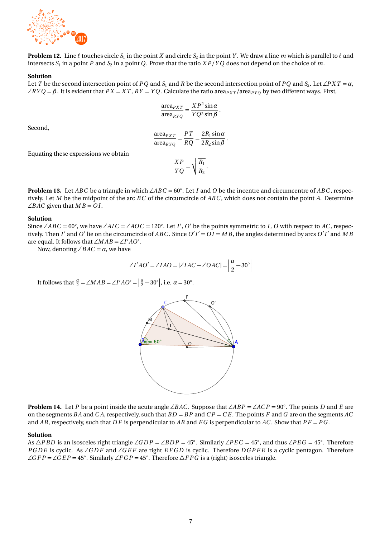

**Problem 12.** Line  $\ell$  touches circle  $S_1$  in the point  $X$  and circle  $S_2$  in the point  $Y$ . We draw a line  $m$  which is parallel to  $\ell$  and intersects  $S_1$  in a point  $P$  and  $S_2$  in a point  $Q$ . Prove that the ratio  $XP/YQ$  does not depend on the choice of  $m$ .

#### **Solution**

Let *T* be the second intersection point of *PQ* and *S*<sub>1</sub> and *R* be the second intersection point of *PQ* and *S*<sub>2</sub>. Let ∠*PXT* =  $\alpha$ ,  $\angle$ *RYQ* =  $\beta$ . It is evident that *PX* = *XT*, *RY* = *YQ*. Calculate the ratio area<sub>*PXT</sub>*/area<sub>*RYQ*</sub> by two different ways. First,</sub>

$$
\frac{\text{area}_{PXT}}{\text{area}_{RYQ}} = \frac{XP^2 \sin \alpha}{YQ^2 \sin \beta}.
$$

Second,

$$
\frac{\text{area}_{PXT}}{\text{area}_{RYQ}} = \frac{PT}{RQ} = \frac{2R_1 \sin \alpha}{2R_2 \sin \beta}.
$$

Equating these expressions we obtain

$$
\frac{XP}{YQ} = \sqrt{\frac{R_1}{R_2}}.
$$

**Problem 13.** Let *ABC* be a triangle in which ∠*ABC* = 60◦ . Let *I* and *O* be the incentre and circumcentre of *ABC* , respectively. Let *M* be the midpoint of the arc *BC* of the circumcircle of *ABC* , which does not contain the point *A*. Determine  $\angle BAC$  given that  $MB = OI$ .

#### **Solution**

Since ∠*ABC* = 60°, we have ∠*AIC* = ∠*AOC* = 120°. Let *I'*, *O'* be the points symmetric to *I*, *O* with respect to *AC*, respectively. Then *I'* and *O'* lie on the circumcircle of *ABC*. Since  $O'I' = OI = MB$ , the angles determined by arcs  $O'I'$  and  $MB$ are equal. It follows that  $\angle MAB = \angle I'AO'$ .

Now, denoting ∠*BAC* =  $α$ , we have

$$
\angle I'AO' = \angle IAO = |\angle IAC - \angle OAC| = \left| \frac{\alpha}{2} - 30^{\circ} \right|
$$

It follows that  $\frac{\alpha}{2} = \angle MAB = \angle I'AO' = \left|\frac{\alpha}{2} - 30^{\circ}\right|$ , i.e.  $\alpha = 30^{\circ}$ .



**Problem 14.** Let *P* be a point inside the acute angle ∠*B AC* . Suppose that ∠*AB P* = ∠*AC P* = 90◦ . The points *D* and *E* are on the segments *B A* and *C A*, respectively, such that *B D* = *B P* and *C P* = *C E* . The points *F* and *G* are on the segments *AC* and *AB*, respectively, such that *D F* is perpendicular to *AB* and *E G* is perpendicular to *AC* . Show that *P F* = *P G* .

#### **Solution**

As ∆*PBD* is an isosceles right triangle ∠*GDP* = ∠*BDP* = 45°. Similarly ∠*PEC* = 45°, and thus ∠*PEG* = 45°. Therefore *PGDE* is cyclic. As ∠*GDF* and ∠*GEF* are right *EFGD* is cyclic. Therefore *DGPFE* is a cyclic pentagon. Therefore ∠*G F P* = ∠*G E P* = 45°. Similarly ∠*F G P* = 45°. Therefore ∆*F P G* is a (right) isosceles triangle.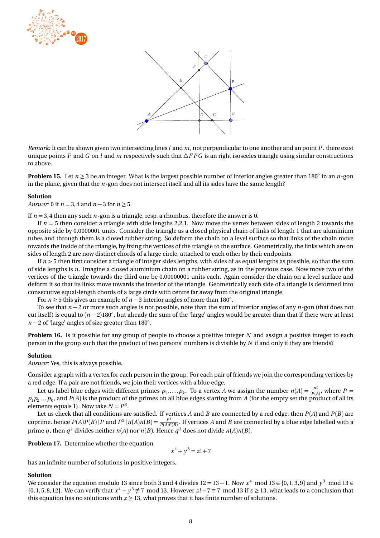



*Remark:* It can be shown given two intersecting lines *l* and *m*, not perpendicular to one another and an point *P* . there exist unique points *F* and *G* on *l* and *m* respectively such that  $\Delta FPG$  is an right isosceles triangle using similar constructions to above.

**Problem 15.** Let *n* ≥ 3 be an integer. What is the largest possible number of interior angles greater than 180◦ in an *n*-gon in the plane, given that the  $n$ -gon does not intersect itself and all its sides have the same length?

#### **Solution**

*Answer:* 0 if *n* = 3, 4 and *n* − 3 for *n* ≥ 5.

If  $n = 3.4$  then any such  $n$ -gon is a triangle, resp. a rhombus, therefore the answer is 0.

If  $n = 5$  then consider a triangle with side lengths 2,2,1. Now move the vertex between sides of length 2 towards the opposite side by 0.0000001 units. Consider the triangle as a closed physical chain of links of length 1 that are aluminium tubes and through them is a closed rubber string. So deform the chain on a level surface so that links of the chain move towards the inside of the triangle, by fixing the vertices of the triangle to the surface. Geometrically, the links which are on sides of length 2 are now distinct chords of a large circle, attached to each other by their endpoints.

If  $n > 5$  then first consider a triangle of integer sides lengths, with sides of as equal lengths as possible, so that the sum of side lengths is *n*. Imagine a closed aluminium chain on a rubber string, as in the previous case. Now move two of the vertices of the triangle towards the third one be 0.00000001 units each. Again consider the chain on a level surface and deform it so that its links move towards the interior of the triangle. Geometrically each side of a triangle is deformed into consecutive equal-length chords of a large circle with centre far away from the original triangle.

For *n* ≥ 5 this gives an example of *n* − 3 interior angles of more than 180◦ .

To see that *n* − 2 or more such angles is not possible, note than the sum of interior angles of any *n*-gon (that does not cut itself) is equal to (*n* − 2)180◦ , but already the sum of the 'large' angles would be greater than that if there were at least *n* − 2 of 'large' angles of size greater than 180°.

**Problem 16.** Is it possible for any group of people to choose a positive integer *N* and assign a positive integer to each person in the group such that the product of two persons' numbers is divisible by *N* if and only if they are friends?

#### **Solution**

*Answer:* Yes, this is always possible.

Consider a graph with a vertex for each person in the group. For each pair of friends we join the corresponding vertices by a red edge. If a pair are not friends, we join their vertices with a blue edge.

Let us label blue edges with different primes  $p_1,\ldots,p_k.$  To a vertex *A* we assign the number  $n(A)=\frac{P^2}{P(A)}$  $\frac{P^2}{P(A)}$ , where  $P =$  $p_1p_2...p_k$ , and  $P(A)$  is the product of the primes on all blue edges starting from  $A$  (for the empty set the product of all its elements equals 1). Now take  $N = P^3$ .

Let us check that all conditions are satisfied. If vertices  $A$  and  $B$  are connected by a red edge, then  $P(A)$  and  $P(B)$  are coprime, hence  $P(A)P(B)$  | *P* and  $P^3 | n(A)n(B) = \frac{P^4}{P(A)P(B)}$  $\frac{P}{P(A)P(B)}$ . If vertices *A* and *B* are connected by a blue edge labelled with a prime *q*, then *q*<sup>2</sup> divides neither *n*(*A*) nor *n*(*B*). Hence *q*<sup>3</sup> does not divide *n*(*A*)*n*(*B*).

**Problem 17.** Determine whether the equation

 $x^4 + y^3 = z! + 7$ 

has an infinite number of solutions in positive integers.

#### **Solution**

We consider the equation modulo 13 since both 3 and 4 divides  $12 = 13 - 1$ . Now  $x^4$  mod  $13 \in \{0, 1, 3, 9\}$  and  $y^3$  mod  $13 \in$  $\{0, 1, 5, 8, 12\}$ . We can verify that  $x^4 + y^3 \neq 7 \mod 13$ . However  $z! + 7 \equiv 7 \mod 13$  if  $z \geq 13$ , what leads to a conclusion that this equation has no solutions with  $z \ge 13$ , what proves that it has finite number of solutions.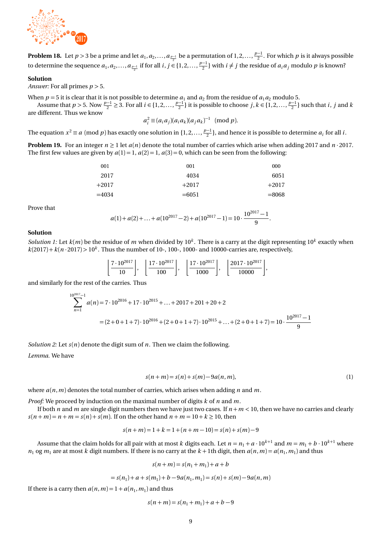

**Problem 18.** Let  $p > 3$  be a prime and let  $a_1, a_2, ..., a_{\frac{p-1}{2}}$  be a permutation of  $1, 2, ..., \frac{p-1}{2}$ . For which  $p$  is it always possible to determine the sequence  $a_1, a_2, \ldots, a_{\frac{p-1}{2}}$  if for all  $i, j \in \{1, 2, \ldots, \frac{p-1}{2}\}$  with  $i \neq j$  the residue of  $a_i a_j$  modulo  $p$  is known?

#### **Solution**

*Answer:* For all primes  $p > 5$ .

When  $p = 5$  it is clear that it is not possible to determine  $a_1$  and  $a_2$  from the residue of  $a_1a_2$  modulo 5.

Assume that  $p > 5$ . Now  $\frac{p-1}{2} \ge 3$ . For all  $i \in \{1, 2, ..., \frac{p-1}{2}\}$  it is possible to choose  $j, k \in \{1, 2, ..., \frac{p-1}{2}\}$  such that  $i, j$  and  $k$ are different. Thus we know 1

$$
a_i^2 \equiv (a_i a_j)(a_i a_k)(a_j a_k)^{-1} \pmod{p}.
$$

The equation  $x^2 \equiv a \pmod{p}$  has exactly one solution in  $\{1, 2, ..., \frac{p-1}{2}\}$ , and hence it is possible to determine  $a_i$  for all *i*.

**Problem 19.** For an integer  $n \ge 1$  let  $a(n)$  denote the total number of carries which arise when adding 2017 and  $n \cdot 2017$ . The first few values are given by  $a(1) = 1$ ,  $a(2) = 1$ ,  $a(3) = 0$ , which can be seen from the following:

| 001     | 001     | 000     |
|---------|---------|---------|
| 2017    | 4034    | 6051    |
| $+2017$ | $+2017$ | $+2017$ |
| $=4034$ | $=6051$ | $=8068$ |

Prove that

$$
a(1) + a(2) + \ldots + a(10^{2017} - 2) + a(10^{2017} - 1) = 10 \cdot \frac{10^{2017} - 1}{9}.
$$

#### **Solution**

*Solution 1:* Let  $k(m)$  be the residue of  $m$  when divided by  $10^k$ . There is a carry at the digit representing  $10^k$  exactly when  $k(2017) + k(n \cdot 2017) > 10^k$ . Thus the number of 10-, 100-, 1000- and 10000-carries are, respectively,

| $17.10^{2017}$ | $17.10^{2017}$ i | $17.10^{2017}$ | $12017 \cdot 10^{2017}$ 1 |
|----------------|------------------|----------------|---------------------------|
|                | nr               |                | 0000                      |

and similarly for the rest of the carries. Thus

$$
\sum_{n=1}^{10^{2017}-1} a(n) = 7 \cdot 10^{2016} + 17 \cdot 10^{2015} + ... + 2017 + 201 + 20 + 2
$$
  
=  $(2+0+1+7) \cdot 10^{2016} + (2+0+1+7) \cdot 10^{2015} + ... + (2+0+1+7) = 10 \cdot \frac{10^{2017}-1}{9}$ 

*Solution 2:* Let *s*(*n*) denote the digit sum of *n*. Then we claim the following.

*Lemma.* We have

$$
s(n+m) = s(n) + s(m) - 9a(n, m),
$$
\n(1)

where *a*(*n*,*m*) denotes the total number of carries, which arises when adding *n* and *m*.

*Proof:* We proceed by induction on the maximal number of digits *k* of *n* and *m*.

If both *n* and *m* are single digit numbers then we have just two cases. If  $n + m < 10$ , then we have no carries and clearly  $s(n+m) = n + m = s(n) + s(m)$ . If on the other hand  $n + m = 10 + k \ge 10$ , then

$$
s(n+m) = 1 + k = 1 + (n+m-10) = s(n) + s(m) - 9
$$

Assume that the claim holds for all pair with at most *k* digits each. Let  $n = n_1 + a \cdot 10^{k+1}$  and  $m = m_1 + b \cdot 10^{k+1}$  where  $n_1$  og  $m_1$  are at most  $k$  digit numbers. If there is no carry at the  $k+1$ th digit, then  $a(n,m) = a(n_1, m_1)$  and thus

$$
s(n+m) = s(n1 + m1) + a + b
$$

$$
= s(n_1) + a + s(m_1) + b - 9a(n_1, m_1) = s(n) + s(m) - 9a(n, m)
$$

If there is a carry then  $a(n, m) = 1 + a(n_1, m_1)$  and thus

$$
s(n+m) = s(n_1+m_1) + a + b - 9
$$